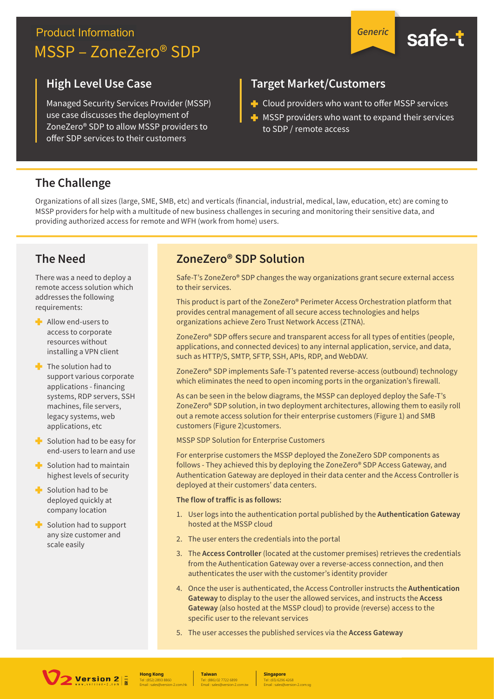## **Product Information** MSSP - ZoneZero® SDP





### **High Level Use Case**

Managed Security Services Provider (MSSP) use case discusses the deployment of ZoneZero<sup>®</sup> SDP to allow MSSP providers to offer SDP services to their customers

## **Target Market/Customers**

- + Cloud providers who want to offer MSSP services
- MSSP providers who want to expand their services to SDP / remote access

## **The Challenge**

Organizations of all sizes (large, SME, SMB, etc) and verticals (financial, industrial, medical, law, education, etc) are coming to MSSP providers for help with a multitude of new business challenges in securing and monitoring their sensitive data, and providing authorized access for remote and WFH (work from home) users.

## **The Need**

There was a need to deploy a remote access solution which addresses the following requirements:

- $\blacksquare$  Allow end-users to access to corporate resources without installing a VPN client
- $\blacksquare$  The solution had to support various corporate applications - financing systems, RDP servers, SSH machines, file servers, legacy systems, web applications, etc
- $\blacktriangleright$  Solution had to be easy for end-users to learn and use
- $\blacksquare$  Solution had to maintain highest levels of security
- $\blacksquare$  Solution had to be deployed quickly at company location
- Solution had to support any size customer and scale easily

## ZoneZero<sup>®</sup> SDP Solution

Safe-T's ZoneZero® SDP changes the way organizations grant secure external access to their services.

This product is part of the ZoneZero® Perimeter Access Orchestration platform that provides central management of all secure access technologies and helps organizations achieve Zero Trust Network Access (ZTNA).

ZoneZero® SDP offers secure and transparent access for all types of entities (people, applications, and connected devices) to any internal application, service, and data, such as HTTP/S, SMTP, SFTP, SSH, APIs, RDP, and WebDAV.

ZoneZero® SDP implements Safe-T's patented reverse-access (outbound) technology which eliminates the need to open incoming ports in the organization's firewall.

As can be seen in the below diagrams, the MSSP can deployed deploy the Safe-T's ZoneZero® SDP solution, in two deployment architectures, allowing them to easily roll out a remote access solution for their enterprise customers (Figure 1) and SMB customers (Figure 2)customers.

MSSP SDP Solution for Enterprise Customers

For enterprise customers the MSSP deployed the ZoneZero SDP components as follows - They achieved this by deploying the ZoneZero® SDP Access Gateway, and Authentication Gateway are deployed in their data center and the Access Controller is deployed at their customers' data centers.

#### The flow of traffic is as follows:

- 1. User logs into the authentication portal published by the Authentication Gateway hosted at the MSSP cloud
- 2. The user enters the credentials into the portal
- 3. The Access Controller (located at the customer premises) retrieves the credentials from the Authentication Gateway over a reverse-access connection, and then authenticates the user with the customer's identity provider
- 4. Once the user is authenticated, the Access Controller instructs the Authentication Gateway to display to the user the allowed services, and instructs the Access Gateway (also hosted at the MSSP cloud) to provide (reverse) access to the specific user to the relevant services
- 5. The user accesses the published services via the Access Gateway



**Hong Kong** 

**Taiwan** 

**Singapore**